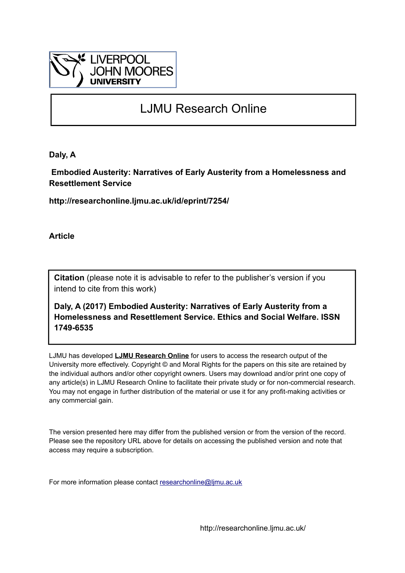

# LJMU Research Online

**Daly, A**

 **Embodied Austerity: Narratives of Early Austerity from a Homelessness and Resettlement Service**

**http://researchonline.ljmu.ac.uk/id/eprint/7254/**

**Article**

**Citation** (please note it is advisable to refer to the publisher's version if you intend to cite from this work)

**Daly, A (2017) Embodied Austerity: Narratives of Early Austerity from a Homelessness and Resettlement Service. Ethics and Social Welfare. ISSN 1749-6535** 

LJMU has developed **[LJMU Research Online](http://researchonline.ljmu.ac.uk/)** for users to access the research output of the University more effectively. Copyright © and Moral Rights for the papers on this site are retained by the individual authors and/or other copyright owners. Users may download and/or print one copy of any article(s) in LJMU Research Online to facilitate their private study or for non-commercial research. You may not engage in further distribution of the material or use it for any profit-making activities or any commercial gain.

The version presented here may differ from the published version or from the version of the record. Please see the repository URL above for details on accessing the published version and note that access may require a subscription.

For more information please contact [researchonline@ljmu.ac.uk](mailto:researchonline@ljmu.ac.uk)

http://researchonline.ljmu.ac.uk/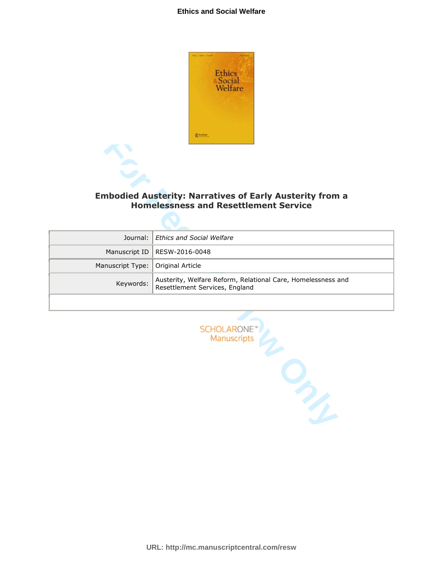

# **Embodied Austerity: Narratives of Early Austerity from a Homelessness and Resettlement Service**

| <b>Embodied Austerity: Narratives of Early Austerity from a</b><br><b>Homelessness and Resettlement Service</b> |                                                                                                |
|-----------------------------------------------------------------------------------------------------------------|------------------------------------------------------------------------------------------------|
|                                                                                                                 |                                                                                                |
| Journal:                                                                                                        | <b>Ethics and Social Welfare</b>                                                               |
| Manuscript ID                                                                                                   | RESW-2016-0048                                                                                 |
| Manuscript Type:                                                                                                | Original Article                                                                               |
| Keywords:                                                                                                       | Austerity, Welfare Reform, Relational Care, Homelessness and<br>Resettlement Services, England |
|                                                                                                                 |                                                                                                |
| <b>SCHOLARONE</b> "<br>Manuscripts                                                                              |                                                                                                |
|                                                                                                                 |                                                                                                |

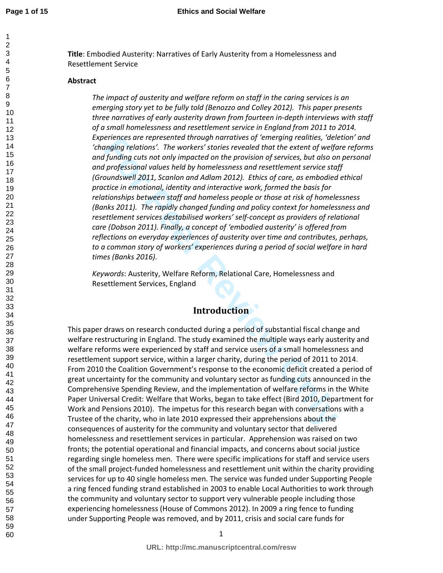**Title**: Embodied Austerity: Narratives of Early Austerity from a Homelessness and Resettlement Service

#### **Abstract**

enneces are represented through narratuses of emerging relatives, deteringen the provision of services, but also or<br>professional values held by homelessness and resettlement service stay<br>if junding cuts not only impacted o *The impact of austerity and welfare reform on staff in the caring services is an emerging story yet to be fully told (Benozzo and Colley 2012). This paper presents three narratives of early austerity drawn from fourteen in-depth interviews with staff of a small homelessness and resettlement service in England from 2011 to 2014. Experiences are represented through narratives of 'emerging realities, 'deletion' and 'changing relations'. The workers' stories revealed that the extent of welfare reforms and funding cuts not only impacted on the provision of services, but also on personal and professional values held by homelessness and resettlement service staff (Groundswell 2011, Scanlon and Adlam 2012). Ethics of care, as embodied ethical practice in emotional, identity and interactive work, formed the basis for relationships between staff and homeless people or those at risk of homelessness (Banks 2011). The rapidly changed funding and policy context for homelessness and resettlement services destabilised workers' self-concept as providers of relational care (Dobson 2011). Finally, a concept of 'embodied austerity' is offered from reflections on everyday experiences of austerity over time and contributes, perhaps, to a common story of workers' experiences during a period of social welfare in hard times (Banks 2016).* 

*Keywords*: Austerity, Welfare Reform, Relational Care, Homelessness and Resettlement Services, England

# **Introduction**

This paper draws on research conducted during a period of substantial fiscal change and welfare restructuring in England. The study examined the multiple ways early austerity and welfare reforms were experienced by staff and service users of a small homelessness and resettlement support service, within a larger charity, during the period of 2011 to 2014. From 2010 the Coalition Government's response to the economic deficit created a period of great uncertainty for the community and voluntary sector as funding cuts announced in the Comprehensive Spending Review, and the implementation of welfare reforms in the White Paper Universal Credit: Welfare that Works, began to take effect (Bird 2010, Department for Work and Pensions 2010). The impetus for this research began with conversations with a Trustee of the charity, who in late 2010 expressed their apprehensions about the consequences of austerity for the community and voluntary sector that delivered homelessness and resettlement services in particular. Apprehension was raised on two fronts; the potential operational and financial impacts, and concerns about social justice regarding single homeless men. There were specific implications for staff and service users of the small project-funded homelessness and resettlement unit within the charity providing services for up to 40 single homeless men. The service was funded under Supporting People a ring fenced funding strand established in 2003 to enable Local Authorities to work through the community and voluntary sector to support very vulnerable people including those experiencing homelessness (House of Commons 2012). In 2009 a ring fence to funding under Supporting People was removed, and by 2011, crisis and social care funds for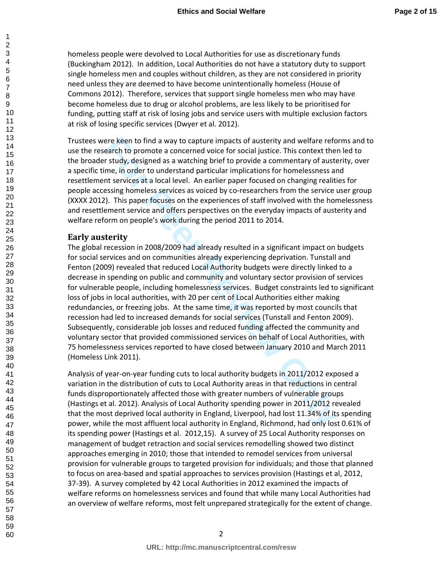homeless people were devolved to Local Authorities for use as discretionary funds (Buckingham 2012). In addition, Local Authorities do not have a statutory duty to support single homeless men and couples without children, as they are not considered in priority need unless they are deemed to have become unintentionally homeless (House of Commons 2012). Therefore, services that support single homeless men who may have become homeless due to drug or alcohol problems, are less likely to be prioritised for funding, putting staff at risk of losing jobs and service users with multiple exclusion factors at risk of losing specific services (Dwyer et al. 2012).

Trustees were keen to find a way to capture impacts of austerity and welfare reforms and to use the research to promote a concerned voice for social justice. This context then led to the broader study, designed as a watching brief to provide a commentary of austerity, over a specific time, in order to understand particular implications for homelessness and resettlement services at a local level. An earlier paper focused on changing realities for people accessing homeless services as voiced by co-researchers from the service user group (XXXX 2012). This paper focuses on the experiences of staff involved with the homelessness and resettlement service and offers perspectives on the everyday impacts of austerity and welfare reform on people's work during the period 2011 to 2014.

## **Early austerity**

ere keen to find a way to capture impacts of austerity and welfare reforest<br>or to promote a concerned voice for social justice. This context there are<br>for study, designed as a watching brief to provide a commentary of aust The global recession in 2008/2009 had already resulted in a significant impact on budgets for social services and on communities already experiencing deprivation. Tunstall and Fenton (2009) revealed that reduced Local Authority budgets were directly linked to a decrease in spending on public and community and voluntary sector provision of services for vulnerable people, including homelessness services. Budget constraints led to significant loss of jobs in local authorities, with 20 per cent of Local Authorities either making redundancies, or freezing jobs. At the same time, it was reported by most councils that recession had led to increased demands for social services (Tunstall and Fenton 2009). Subsequently, considerable job losses and reduced funding affected the community and voluntary sector that provided commissioned services on behalf of Local Authorities, with 75 homelessness services reported to have closed between January 2010 and March 2011 (Homeless Link 2011).

Analysis of year-on-year funding cuts to local authority budgets in 2011/2012 exposed a variation in the distribution of cuts to Local Authority areas in that reductions in central funds disproportionately affected those with greater numbers of vulnerable groups (Hastings et al. 2012). Analysis of Local Authority spending power in 2011/2012 revealed that the most deprived local authority in England, Liverpool, had lost 11.34% of its spending power, while the most affluent local authority in England, Richmond, had only lost 0.61% of its spending power (Hastings et al. 2012,15). A survey of 25 Local Authority responses on management of budget retraction and social services remodelling showed two distinct approaches emerging in 2010; those that intended to remodel services from universal provision for vulnerable groups to targeted provision for individuals; and those that planned to focus on area-based and spatial approaches to services provision (Hastings et al, 2012, 37-39). A survey completed by 42 Local Authorities in 2012 examined the impacts of welfare reforms on homelessness services and found that while many Local Authorities had an overview of welfare reforms, most felt unprepared strategically for the extent of change.

1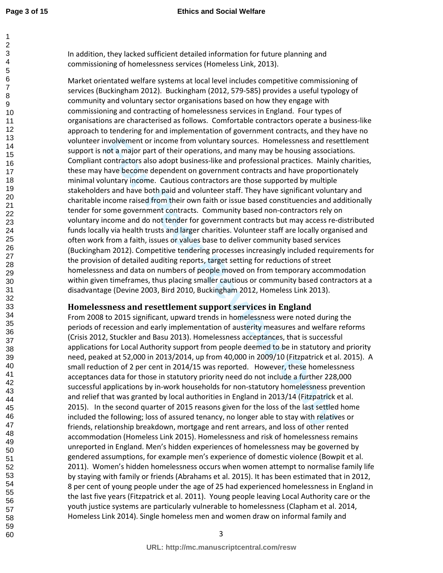1

In addition, they lacked sufficient detailed information for future planning and commissioning of homelessness services (Homeless Link, 2013).

nvolvement or income from voluntary sources. Homelessness and reso<br>not a major part of their operations, and many may be housing associate<br>contractors also adopt business-like and professional practices. Mainly<br>have become Market orientated welfare systems at local level includes competitive commissioning of services (Buckingham 2012). Buckingham (2012, 579-585) provides a useful typology of community and voluntary sector organisations based on how they engage with commissioning and contracting of homelessness services in England. Four types of organisations are characterised as follows. Comfortable contractors operate a business-like approach to tendering for and implementation of government contracts, and they have no volunteer involvement or income from voluntary sources. Homelessness and resettlement support is not a major part of their operations, and many may be housing associations. Compliant contractors also adopt business-like and professional practices. Mainly charities, these may have become dependent on government contracts and have proportionately minimal voluntary income. Cautious contractors are those supported by multiple stakeholders and have both paid and volunteer staff. They have significant voluntary and charitable income raised from their own faith or issue based constituencies and additionally tender for some government contracts. Community based non-contractors rely on voluntary income and do not tender for government contracts but may access re-distributed funds locally via health trusts and larger charities. Volunteer staff are locally organised and often work from a faith, issues or values base to deliver community based services (Buckingham 2012). Competitive tendering processes increasingly included requirements for the provision of detailed auditing reports, target setting for reductions of street homelessness and data on numbers of people moved on from temporary accommodation within given timeframes, thus placing smaller cautious or community based contractors at a disadvantage (Devine 2003, Bird 2010, Buckingham 2012, Homeless Link 2013).

## **Homelessness and resettlement support services in England**

From 2008 to 2015 significant, upward trends in homelessness were noted during the periods of recession and early implementation of austerity measures and welfare reforms (Crisis 2012, Stuckler and Basu 2013). Homelessness acceptances, that is successful applications for Local Authority support from people deemed to be in statutory and priority need, peaked at 52,000 in 2013/2014, up from 40,000 in 2009/10 (Fitzpatrick et al. 2015). A small reduction of 2 per cent in 2014/15 was reported. However, these homelessness acceptances data for those in statutory priority need do not include a further 228,000 successful applications by in-work households for non-statutory homelessness prevention and relief that was granted by local authorities in England in 2013/14 (Fitzpatrick et al. 2015). In the second quarter of 2015 reasons given for the loss of the last settled home included the following; loss of assured tenancy, no longer able to stay with relatives or friends, relationship breakdown, mortgage and rent arrears, and loss of other rented accommodation (Homeless Link 2015). Homelessness and risk of homelessness remains unreported in England. Men's hidden experiences of homelessness may be governed by gendered assumptions, for example men's experience of domestic violence (Bowpit et al. 2011). Women's hidden homelessness occurs when women attempt to normalise family life by staying with family or friends (Abrahams et al. 2015). It has been estimated that in 2012, 8 per cent of young people under the age of 25 had experienced homelessness in England in the last five years (Fitzpatrick et al. 2011). Young people leaving Local Authority care or the youth justice systems are particularly vulnerable to homelessness (Clapham et al. 2014, Homeless Link 2014). Single homeless men and women draw on informal family and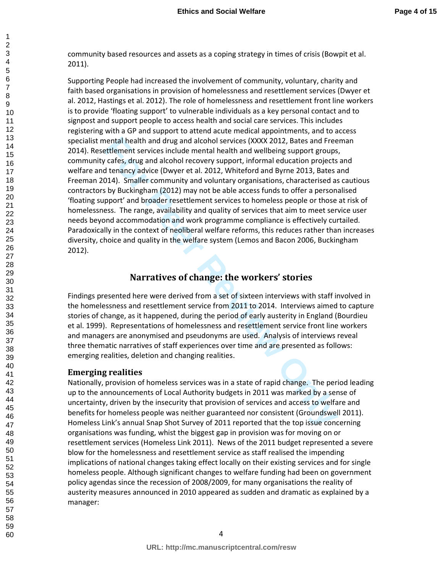community based resources and assets as a coping strategy in times of crisis (Bowpit et al. 2011).

nental health and drug and alcohol services (XXXX 2012, Bates and Free<br>
Ettlement services include mental health and wellbeing support groups<br>
crafes, drug and alcohol recovery support, informal education projects<br>
tenearc Supporting People had increased the involvement of community, voluntary, charity and faith based organisations in provision of homelessness and resettlement services (Dwyer et al. 2012, Hastings et al. 2012). The role of homelessness and resettlement front line workers is to provide 'floating support' to vulnerable individuals as a key personal contact and to signpost and support people to access health and social care services. This includes registering with a GP and support to attend acute medical appointments, and to access specialist mental health and drug and alcohol services (XXXX 2012, Bates and Freeman 2014). Resettlement services include mental health and wellbeing support groups, community cafes, drug and alcohol recovery support, informal education projects and welfare and tenancy advice (Dwyer et al. 2012, Whiteford and Byrne 2013, Bates and Freeman 2014). Smaller community and voluntary organisations, characterised as cautious contractors by Buckingham (2012) may not be able access funds to offer a personalised 'floating support' and broader resettlement services to homeless people or those at risk of homelessness. The range, availability and quality of services that aim to meet service user needs beyond accommodation and work programme compliance is effectively curtailed. Paradoxically in the context of neoliberal welfare reforms, this reduces rather than increases diversity, choice and quality in the welfare system (Lemos and Bacon 2006, Buckingham 2012).

## **Narratives of change: the workers' stories**

Findings presented here were derived from a set of sixteen interviews with staff involved in the homelessness and resettlement service from 2011 to 2014. Interviews aimed to capture stories of change, as it happened, during the period of early austerity in England (Bourdieu et al. 1999). Representations of homelessness and resettlement service front line workers and managers are anonymised and pseudonyms are used. Analysis of interviews reveal three thematic narratives of staff experiences over time and are presented as follows: emerging realities, deletion and changing realities.

#### **Emerging realities**

Nationally, provision of homeless services was in a state of rapid change. The period leading up to the announcements of Local Authority budgets in 2011 was marked by a sense of uncertainty, driven by the insecurity that provision of services and access to welfare and benefits for homeless people was neither guaranteed nor consistent (Groundswell 2011). Homeless Link's annual Snap Shot Survey of 2011 reported that the top issue concerning organisations was funding, whist the biggest gap in provision was for moving on or resettlement services (Homeless Link 2011). News of the 2011 budget represented a severe blow for the homelessness and resettlement service as staff realised the impending implications of national changes taking effect locally on their existing services and for single homeless people. Although significant changes to welfare funding had been on government policy agendas since the recession of 2008/2009, for many organisations the reality of austerity measures announced in 2010 appeared as sudden and dramatic as explained by a manager: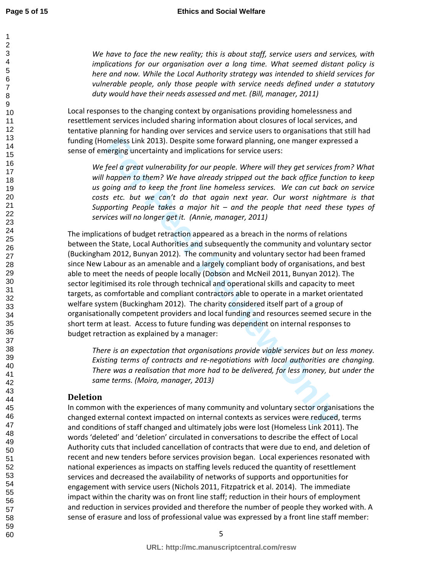*We have to face the new reality; this is about staff, service users and services, with implications for our organisation over a long time. What seemed distant policy is here and now. While the Local Authority strategy was intended to shield services for vulnerable people, only those people with service needs defined under a statutory duty would have their needs assessed and met. (Bill, manager, 2011)* 

Local responses to the changing context by organisations providing homelessness and resettlement services included sharing information about closures of local services, and tentative planning for handing over services and service users to organisations that still had funding (Homeless Link 2013). Despite some forward planning, one manger expressed a sense of emerging uncertainty and implications for service users:

*We feel a great vulnerability for our people. Where will they get services from? What will happen to them? We have already stripped out the back office function to keep us going and to keep the front line homeless services. We can cut back on service costs etc. but we can't do that again next year. Our worst nightmare is that Supporting People takes a major hit – and the people that need these types of services will no longer get it. (Annie, manager, 2011)* 

omeless Link 2013). Despite some forward planning, one manger expre-<br> *feel a great vulnerability for our people. Where will they get services f<br>
feel a great vulnerability for our people. Where will the back office functi* The implications of budget retraction appeared as a breach in the norms of relations between the State, Local Authorities and subsequently the community and voluntary sector (Buckingham 2012, Bunyan 2012). The community and voluntary sector had been framed since New Labour as an amenable and a largely compliant body of organisations, and best able to meet the needs of people locally (Dobson and McNeil 2011, Bunyan 2012). The sector legitimised its role through technical and operational skills and capacity to meet targets, as comfortable and compliant contractors able to operate in a market orientated welfare system (Buckingham 2012). The charity considered itself part of a group of organisationally competent providers and local funding and resources seemed secure in the short term at least. Access to future funding was dependent on internal responses to budget retraction as explained by a manager:

*There is an expectation that organisations provide viable services but on less money. Existing terms of contracts and re-negotiations with local authorities are changing. There was a realisation that more had to be delivered, for less money, but under the same terms. (Moira, manager, 2013)* 

#### **Deletion**

In common with the experiences of many community and voluntary sector organisations the changed external context impacted on internal contexts as services were reduced, terms and conditions of staff changed and ultimately jobs were lost (Homeless Link 2011). The words 'deleted' and 'deletion' circulated in conversations to describe the effect of Local Authority cuts that included cancellation of contracts that were due to end, and deletion of recent and new tenders before services provision began. Local experiences resonated with national experiences as impacts on staffing levels reduced the quantity of resettlement services and decreased the availability of networks of supports and opportunities for engagement with service users (Nichols 2011, Fitzpatrick et al. 2014). The immediate impact within the charity was on front line staff; reduction in their hours of employment and reduction in services provided and therefore the number of people they worked with. A sense of erasure and loss of professional value was expressed by a front line staff member: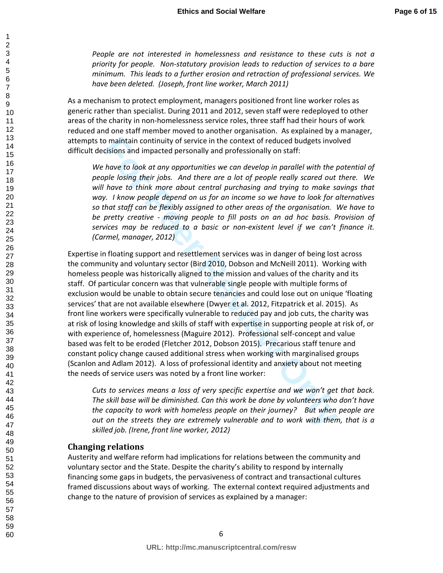*People are not interested in homelessness and resistance to these cuts is not a priority for people. Non-statutory provision leads to reduction of services to a bare minimum. This leads to a further erosion and retraction of professional services. We have been deleted. (Joseph, front line worker, March 2011)* 

As a mechanism to protect employment, managers positioned front line worker roles as generic rather than specialist. During 2011 and 2012, seven staff were redeployed to other areas of the charity in non-homelessness service roles, three staff had their hours of work reduced and one staff member moved to another organisation. As explained by a manager, attempts to maintain continuity of service in the context of reduced budgets involved difficult decisions and impacted personally and professionally on staff:

*We have to look at any opportunities we can develop in parallel with the potential of people losing their jobs. And there are a lot of people really scared out there. We will have to think more about central purchasing and trying to make savings that way. I know people depend on us for an income so we have to look for alternatives so that staff can be flexibly assigned to other areas of the organisation. We have to be pretty creative - moving people to fill posts on an ad hoc basis. Provision of services may be reduced to a basic or non-existent level if we can't finance it. (Carmel, manager, 2012)* 

**Dominital continuity of service in the context of reduced budgets involval continuity of service in the context of reduced budgets involval and professionally on staff:<br>** *have to look at any opportunities we can develop i* Expertise in floating support and resettlement services was in danger of being lost across the community and voluntary sector (Bird 2010, Dobson and McNeill 2011). Working with homeless people was historically aligned to the mission and values of the charity and its staff. Of particular concern was that vulnerable single people with multiple forms of exclusion would be unable to obtain secure tenancies and could lose out on unique 'floating services' that are not available elsewhere (Dwyer et al. 2012, Fitzpatrick et al. 2015). As front line workers were specifically vulnerable to reduced pay and job cuts, the charity was at risk of losing knowledge and skills of staff with expertise in supporting people at risk of, or with experience of, homelessness (Maguire 2012). Professional self-concept and value based was felt to be eroded (Fletcher 2012, Dobson 2015). Precarious staff tenure and constant policy change caused additional stress when working with marginalised groups (Scanlon and Adlam 2012). A loss of professional identity and anxiety about not meeting the needs of service users was noted by a front line worker:

*Cuts to services means a loss of very specific expertise and we won't get that back. The skill base will be diminished. Can this work be done by volunteers who don't have the capacity to work with homeless people on their journey? But when people are out on the streets they are extremely vulnerable and to work with them, that is a skilled job. (Irene, front line worker, 2012)* 

#### **Changing relations**

Austerity and welfare reform had implications for relations between the community and voluntary sector and the State. Despite the charity's ability to respond by internally financing some gaps in budgets, the pervasiveness of contract and transactional cultures framed discussions about ways of working. The external context required adjustments and change to the nature of provision of services as explained by a manager: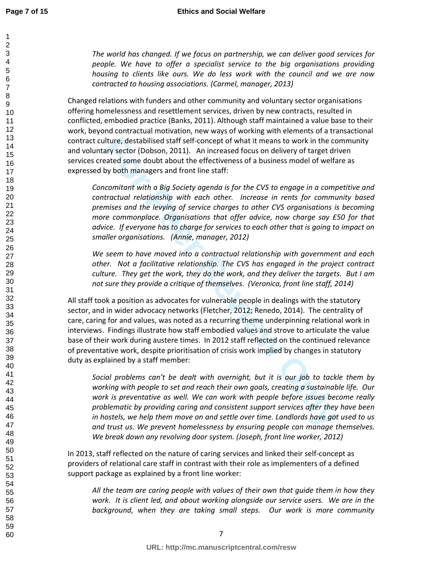*The world has changed. If we focus on partnership, we can deliver good services for people. We have to offer a specialist service to the big organisations providing housing to clients like ours. We do less work with the council and we are now contracted to housing associations. (Carmel, manager, 2013)* 

Changed relations with funders and other community and voluntary sector organisations offering homelessness and resettlement services, driven by new contracts, resulted in conflicted, embodied practice (Banks, 2011). Although staff maintained a value base to their work, beyond contractual motivation, new ways of working with elements of a transactional contract culture, destabilised staff self-concept of what it means to work in the community and voluntary sector (Dobson, 2011). An increased focus on delivery of target driven services created some doubt about the effectiveness of a business model of welfare as expressed by both managers and front line staff:

*Concomitant with a Big Society agenda is for the CVS to engage in a competitive and contractual relationship with each other. Increase in rents for community based premises and the levying of service charges to other CVS organisations is becoming more commonplace. Organisations that offer advice, now charge say £50 for that advice. If everyone has to charge for services to each other that is going to impact on smaller organisations. (Annie, manager, 2012)* 

*We seem to have moved into a contractual relationship with government and each other. Not a facilitative relationship. The CVS has engaged in the project contract culture. They get the work, they do the work, and they deliver the targets. But I am not sure they provide a critique of themselves. (Veronica, front line staff, 2014)* 

Ilture, destabilised staff self-concept of what it means to work in the corry sector (Dobson, 2011). An increased focus on delivery of target driented sene doubt about the effectiveness of a business model of welfa<br>cated s All staff took a position as advocates for vulnerable people in dealings with the statutory sector, and in wider advocacy networks (Fletcher, 2012; Renedo, 2014). The centrality of care, caring for and values, was noted as a recurring theme underpinning relational work in interviews. Findings illustrate how staff embodied values and strove to articulate the value base of their work during austere times. In 2012 staff reflected on the continued relevance of preventative work, despite prioritisation of crisis work implied by changes in statutory duty as explained by a staff member:

*Social problems can't be dealt with overnight, but it is our job to tackle them by working with people to set and reach their own goals, creating a sustainable life. Our work is preventative as well. We can work with people before issues become really problematic by providing caring and consistent support services after they have been in hostels, we help them move on and settle over time. Landlords have got used to us and trust us. We prevent homelessness by ensuring people can manage themselves. We break down any revolving door system. (Joseph, front line worker, 2012)* 

In 2013, staff reflected on the nature of caring services and linked their self-concept as providers of relational care staff in contrast with their role as implementers of a defined support package as explained by a front line worker:

*All the team are caring people with values of their own that guide them in how they work. It is client led, and about working alongside our service users. We are in the background, when they are taking small steps. Our work is more community*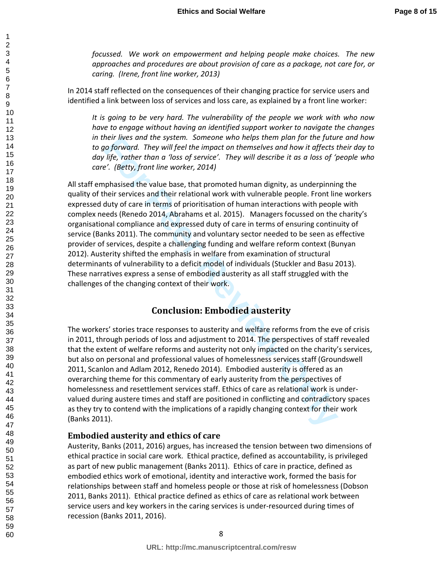*focussed. We work on empowerment and helping people make choices. The new approaches and procedures are about provision of care as a package, not care for, or caring. (Irene, front line worker, 2013)* 

In 2014 staff reflected on the consequences of their changing practice for service users and identified a link between loss of services and loss care, as explained by a front line worker:

*It is going to be very hard. The vulnerability of the people we work with who now have to engage without having an identified support worker to navigate the changes in their lives and the system. Someone who helps them plan for the future and how to go forward. They will feel the impact on themselves and how it affects their day to day life, rather than a 'loss of service'. They will describe it as a loss of 'people who care'. (Betty, front line worker, 2014)* 

**For** *IWES* and the system. Someone who helps finem pian for the privarial and pythe present in the system is the fig. They will describe it as a loss of 'p'. (Betty, front line worker, 2014)<br>
For forward. They will feel All staff emphasised the value base, that promoted human dignity, as underpinning the quality of their services and their relational work with vulnerable people. Front line workers expressed duty of care in terms of prioritisation of human interactions with people with complex needs (Renedo 2014, Abrahams et al. 2015). Managers focussed on the charity's organisational compliance and expressed duty of care in terms of ensuring continuity of service (Banks 2011). The community and voluntary sector needed to be seen as effective provider of services, despite a challenging funding and welfare reform context (Bunyan 2012). Austerity shifted the emphasis in welfare from examination of structural determinants of vulnerability to a deficit model of individuals (Stuckler and Basu 2013). These narratives express a sense of embodied austerity as all staff struggled with the challenges of the changing context of their work.

## **Conclusion: Embodied austerity**

The workers' stories trace responses to austerity and welfare reforms from the eve of crisis in 2011, through periods of loss and adjustment to 2014. The perspectives of staff revealed that the extent of welfare reforms and austerity not only impacted on the charity's services, but also on personal and professional values of homelessness services staff (Groundswell 2011, Scanlon and Adlam 2012, Renedo 2014). Embodied austerity is offered as an overarching theme for this commentary of early austerity from the perspectives of homelessness and resettlement services staff. Ethics of care as relational work is undervalued during austere times and staff are positioned in conflicting and contradictory spaces as they try to contend with the implications of a rapidly changing context for their work (Banks 2011).

## **Embodied austerity and ethics of care**

Austerity, Banks (2011, 2016) argues, has increased the tension between two dimensions of ethical practice in social care work. Ethical practice, defined as accountability, is privileged as part of new public management (Banks 2011). Ethics of care in practice, defined as embodied ethics work of emotional, identity and interactive work, formed the basis for relationships between staff and homeless people or those at risk of homelessness (Dobson 2011, Banks 2011). Ethical practice defined as ethics of care as relational work between service users and key workers in the caring services is under-resourced during times of recession (Banks 2011, 2016).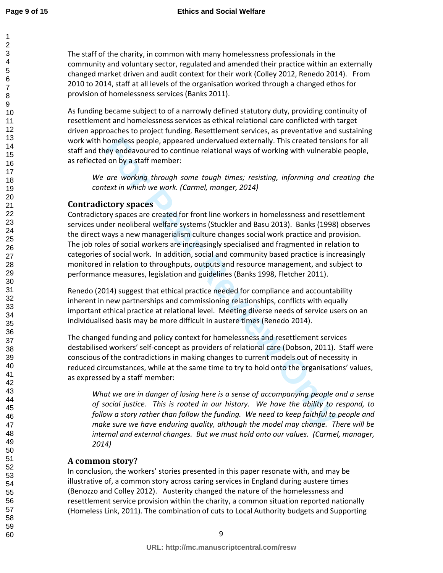1

The staff of the charity, in common with many homelessness professionals in the community and voluntary sector, regulated and amended their practice within an externally changed market driven and audit context for their work (Colley 2012, Renedo 2014). From 2010 to 2014, staff at all levels of the organisation worked through a changed ethos for provision of homelessness services (Banks 2011).

As funding became subject to of a narrowly defined statutory duty, providing continuity of resettlement and homelessness services as ethical relational care conflicted with target driven approaches to project funding. Resettlement services, as preventative and sustaining work with homeless people, appeared undervalued externally. This created tensions for all staff and they endeavoured to continue relational ways of working with vulnerable people, as reflected on by a staff member:

*We are working through some tough times; resisting, informing and creating the context in which we work. (Carmel, manger, 2014)* 

## **Contradictory spaces**

homeless people, appeared undervalued externally. This created tension<br>eye endeavoured to continue relational ways of working with vulnerable<br>of on by a staff member:<br>
ore working through some tough times; resisting, infor Contradictory spaces are created for front line workers in homelessness and resettlement services under neoliberal welfare systems (Stuckler and Basu 2013). Banks (1998) observes the direct ways a new managerialism culture changes social work practice and provision. The job roles of social workers are increasingly specialised and fragmented in relation to categories of social work. In addition, social and community based practice is increasingly monitored in relation to throughputs, outputs and resource management, and subject to performance measures, legislation and guidelines (Banks 1998, Fletcher 2011).

Renedo (2014) suggest that ethical practice needed for compliance and accountability inherent in new partnerships and commissioning relationships, conflicts with equally important ethical practice at relational level. Meeting diverse needs of service users on an individualised basis may be more difficult in austere times (Renedo 2014).

The changed funding and policy context for homelessness and resettlement services destabilised workers' self-concept as providers of relational care (Dobson, 2011). Staff were conscious of the contradictions in making changes to current models out of necessity in reduced circumstances, while at the same time to try to hold onto the organisations' values, as expressed by a staff member:

*What we are in danger of losing here is a sense of accompanying people and a sense of social justice. This is rooted in our history. We have the ability to respond, to*  follow a story rather than follow the funding. We need to keep faithful to people and *make sure we have enduring quality, although the model may change. There will be internal and external changes. But we must hold onto our values. (Carmel, manager, 2014)* 

## **A common story?**

In conclusion, the workers' stories presented in this paper resonate with, and may be illustrative of, a common story across caring services in England during austere times (Benozzo and Colley 2012). Austerity changed the nature of the homelessness and resettlement service provision within the charity, a common situation reported nationally (Homeless Link, 2011). The combination of cuts to Local Authority budgets and Supporting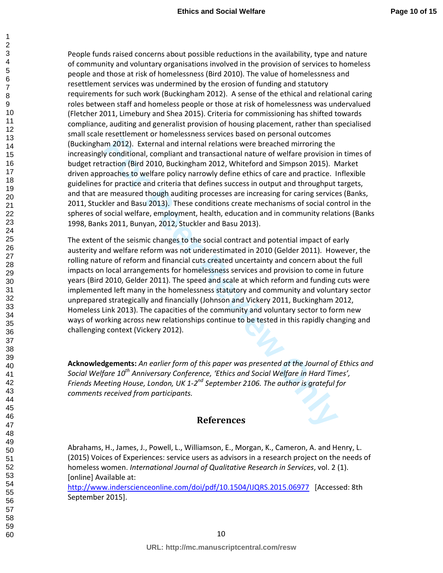People funds raised concerns about possible reductions in the availability, type and nature of community and voluntary organisations involved in the provision of services to homeless people and those at risk of homelessness (Bird 2010). The value of homelessness and resettlement services was undermined by the erosion of funding and statutory requirements for such work (Buckingham 2012). A sense of the ethical and relational caring roles between staff and homeless people or those at risk of homelessness was undervalued (Fletcher 2011, Limebury and Shea 2015). Criteria for commissioning has shifted towards compliance, auditing and generalist provision of housing placement, rather than specialised small scale resettlement or homelessness services based on personal outcomes (Buckingham 2012). External and internal relations were breached mirroring the increasingly conditional, compliant and transactional nature of welfare provision in times of budget retraction (Bird 2010, Buckingham 2012, Whiteford and Simpson 2015). Market driven approaches to welfare policy narrowly define ethics of care and practice. Inflexible guidelines for practice and criteria that defines success in output and throughput targets, and that are measured though auditing processes are increasing for caring services (Banks, 2011, Stuckler and Basu 2013). These conditions create mechanisms of social control in the spheres of social welfare, employment, health, education and in community relations (Banks 1998, Banks 2011, Bunyan, 2012, Stuckler and Basu 2013).

m 2012). External and internal relations were breached mirroring the<br>m 2012). External and internal relations were breached mirroring the<br>productional, compliant and transactional nature of welfare provision in<br>action (Bir The extent of the seismic changes to the social contract and potential impact of early austerity and welfare reform was not underestimated in 2010 (Gelder 2011). However, the rolling nature of reform and financial cuts created uncertainty and concern about the full impacts on local arrangements for homelessness services and provision to come in future years (Bird 2010, Gelder 2011). The speed and scale at which reform and funding cuts were implemented left many in the homelessness statutory and community and voluntary sector unprepared strategically and financially (Johnson and Vickery 2011, Buckingham 2012, Homeless Link 2013). The capacities of the community and voluntary sector to form new ways of working across new relationships continue to be tested in this rapidly changing and challenging context (Vickery 2012).

**Acknowledgements:** *An earlier form of this paper was presented at the Journal of Ethics and Social Welfare 10th Anniversary Conference, 'Ethics and Social Welfare in Hard Times', Friends Meeting House, London, UK 1-2nd September 2106. The author is grateful for comments received from participants.* 

# **References**

Abrahams, H., James, J., Powell, L., Williamson, E., Morgan, K., Cameron, A. and Henry, L. (2015) Voices of Experiences: service users as advisors in a research project on the needs of homeless women. *International Journal of Qualitative Research in Services*, vol. 2 (1). [online] Available at:

http://www.inderscienceonline.com/doi/pdf/10.1504/IJQRS.2015.06977 [Accessed: 8th September 2015].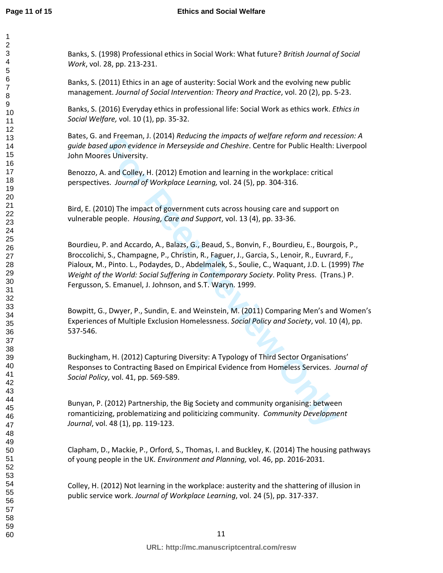Banks, S. (1998) Professional ethics in Social Work: What future? *British Journal of Social Work*, vol. 28, pp. 213-231.

Banks, S. (2011) Ethics in an age of austerity: Social Work and the evolving new public management. *Journal of Social Intervention: Theory and Practice*, vol. 20 (2), pp. 5-23.

Banks, S. (2016) Everyday ethics in professional life: Social Work as ethics work. *Ethics in Social Welfare,* vol. 10 (1), pp. 35-32.

Bates, G. and Freeman, J. (2014) *Reducing the impacts of welfare reform and recession: A guide based upon evidence in Merseyside and Cheshire*. Centre for Public Health: Liverpool John Moores University.

Benozzo, A. and Colley, H. (2012) Emotion and learning in the workplace: critical perspectives. *Journal of Workplace Learning,* vol. 24 (5), pp. 304-316.

Bird, E. (2010) The impact of government cuts across housing care and support on vulnerable people. *Housing, Care and Support*, vol. 13 (4), pp. 33-36.

Internation, *S. Local Readanty Computer in Mercelian, 1*<br> *For Per Review Computer in Merceyside and Cheshire.* Centre for Public Health: 1<br> *For Per Per Per Review Computer Computer Centre for Public Health: 1*<br> *For Pub* Bourdieu, P. and Accardo, A., Balazs, G., Beaud, S., Bonvin, F., Bourdieu, E., Bourgois, P., Broccolichi, S., Champagne, P., Christin, R., Faguer, J., Garcia, S., Lenoir, R., Euvrard, F., Pialoux, M., Pinto. L., Podaydes, D., Abdelmalek, S., Soulie, C., Waquant, J.D. L. (1999) *The Weight of the World: Social Suffering in Contemporary Society*. Polity Press. (Trans.) P. Fergusson, S. Emanuel, J. Johnson, and S.T. Waryn. 1999.

Bowpitt, G., Dwyer, P., Sundin, E. and Weinstein, M. (2011) Comparing Men's and Women's Experiences of Multiple Exclusion Homelessness. *Social Policy and Society*, vol. 10 (4), pp. 537-546.

Buckingham, H. (2012) Capturing Diversity: A Typology of Third Sector Organisations' Responses to Contracting Based on Empirical Evidence from Homeless Services. *Journal of Social Policy*, vol. 41, pp. 569-589.

Bunyan, P. (2012) Partnership, the Big Society and community organising: between romanticizing, problematizing and politicizing community. *Community Development Journal*, vol. 48 (1), pp. 119-123.

Clapham, D., Mackie, P., Orford, S., Thomas, I. and Buckley, K. (2014) The housing pathways of young people in the UK. *Environment and Planning,* vol. 46, pp. 2016-2031.

Colley, H. (2012) Not learning in the workplace: austerity and the shattering of illusion in public service work. *Journal of Workplace Learning*, vol. 24 (5), pp. 317-337.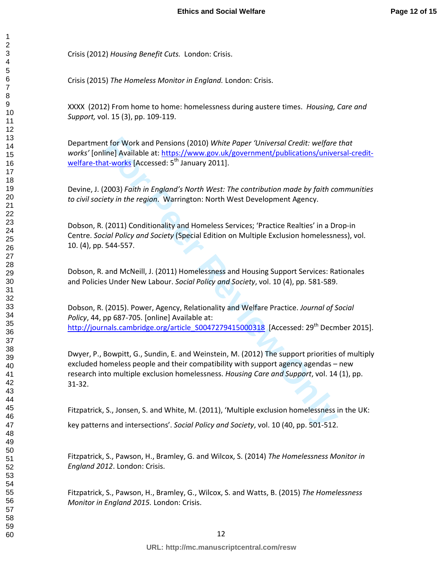Crisis (2012) *Housing Benefit Cuts.* London: Crisis.

Crisis (2015) *The Homeless Monitor in England.* London: Crisis.

XXXX (2012) From home to home: homelessness during austere times. *Housing, Care and Support,* vol. 15 (3), pp. 109-119.

Department for Work and Pensions (2010) *White Paper 'Universal Credit: welfare that works'* [online] Available at: https://www.gov.uk/government/publications/universal-creditwelfare-that-works [Accessed:  $5<sup>th</sup>$  January 2011].

Devine, J. (2003) *Faith in England's North West: The contribution made by faith communities to civil society in the region*. Warrington: North West Development Agency.

Dobson, R. (2011) Conditionality and Homeless Services; 'Practice Realties' in a Drop-in Centre. *Social Policy and Society* (Special Edition on Multiple Exclusion homelessness), vol. 10. (4), pp. 544-557.

Dobson, R. and McNeill, J. (2011) Homelessness and Housing Support Services: Rationales and Policies Under New Labour. *Social Policy and Society*, vol. 10 (4), pp. 581-589.

Dobson, R. (2015). Power, Agency, Relationality and Welfare Practice. *Journal of Social Policy*, 44, pp 687-705. [online] Available at: http://journals.cambridge.org/article\_S0047279415000318 [Accessed: 29<sup>th</sup> Decmber 2015].

the for Work and Pensions (2010) White Paper 'Universal Credit: welfare<br>ine] Available at: https://www.gov.uk/government/publications/univer<br>at-works [Accessed: 5<sup>th</sup> January 2011].<br>2003) *Faith in England's North West: Th* Dwyer, P., Bowpitt, G., Sundin, E. and Weinstein, M. (2012) The support priorities of multiply excluded homeless people and their compatibility with support agency agendas – new research into multiple exclusion homelessness. *Housing Care and Support*, vol. 14 (1), pp. 31-32.

Fitzpatrick, S., Jonsen, S. and White, M. (2011), 'Multiple exclusion homelessness in the UK: key patterns and intersections'. *Social Policy and Society*, vol. 10 (40, pp. 501-512.

Fitzpatrick, S., Pawson, H., Bramley, G. and Wilcox, S. (2014) *The Homelessness Monitor in England 2012*. London: Crisis.

Fitzpatrick, S., Pawson, H., Bramley, G., Wilcox, S. and Watts, B. (2015) *The Homelessness Monitor in England 2015.* London: Crisis.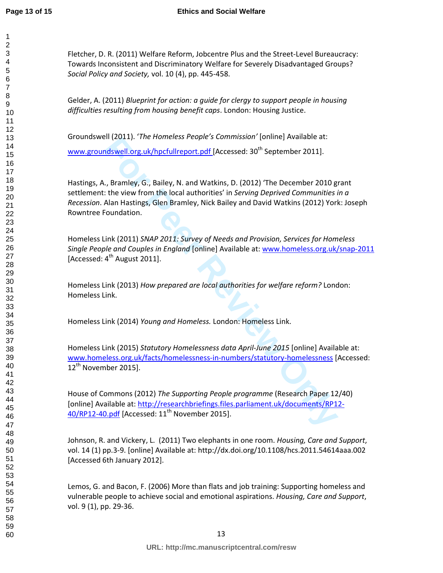Fletcher, D. R. (2011) Welfare Reform, Jobcentre Plus and the Street-Level Bureaucracy: Towards Inconsistent and Discriminatory Welfare for Severely Disadvantaged Groups? *Social Policy and Society,* vol. 10 (4), pp. 445-458.

Gelder, A. (2011) *Blueprint for action: a guide for clergy to support people in housing difficulties resulting from housing benefit caps*. London: Housing Justice.

Groundswell (2011). '*The Homeless People's Commission'* [online] Available at:

www.groundswell.org.uk/hpcfullreport.pdf [Accessed: 30<sup>th</sup> September 2011].

Ent (2011). The Homeless People's Commission (Johnne) Avaliable at:<br>
Idswell.org.uk/hpcfullreport.pdf [Accessed: 30<sup>th</sup> September 2011].<br> **For Peer Review The Review Only (Accessed: 30<sup>th</sup> September 2010 g<br>
1. the view fro** Hastings, A., Bramley, G., Bailey, N. and Watkins, D. (2012) 'The December 2010 grant settlement: the view from the local authorities' in *Serving Deprived Communities in a Recession*. Alan Hastings, Glen Bramley, Nick Bailey and David Watkins (2012) York: Joseph Rowntree Foundation.

Homeless Link (2011) *SNAP 2011: Survey of Needs and Provision, Services for Homeless Single People and Couples in England* [online] Available at: www.homeless.org.uk/snap-2011 [Accessed:  $4<sup>th</sup>$  August 2011].

Homeless Link (2013) *How prepared are local authorities for welfare reform?* London: Homeless Link.

Homeless Link (2014) *Young and Homeless.* London: Homeless Link.

Homeless Link (2015) *Statutory Homelessness data April-June 2015* [online] Available at: www.homeless.org.uk/facts/homelessness-in-numbers/statutory-homelessness [Accessed: 12<sup>th</sup> November 2015l.

House of Commons (2012) *The Supporting People programme* (Research Paper 12/40) [online] Available at: http://researchbriefings.files.parliament.uk/documents/RP12- 40/RP12-40.pdf [Accessed: 11<sup>th</sup> November 2015].

Johnson, R. and Vickery, L. (2011) Two elephants in one room. *Housing, Care and Support*, vol. 14 (1) pp.3-9. [online] Available at: http://dx.doi.org/10.1108/hcs.2011.54614aaa.002 [Accessed 6th January 2012].

Lemos, G. and Bacon, F. (2006) More than flats and job training: Supporting homeless and vulnerable people to achieve social and emotional aspirations. *Housing, Care and Support*, vol. 9 (1), pp. 29-36.